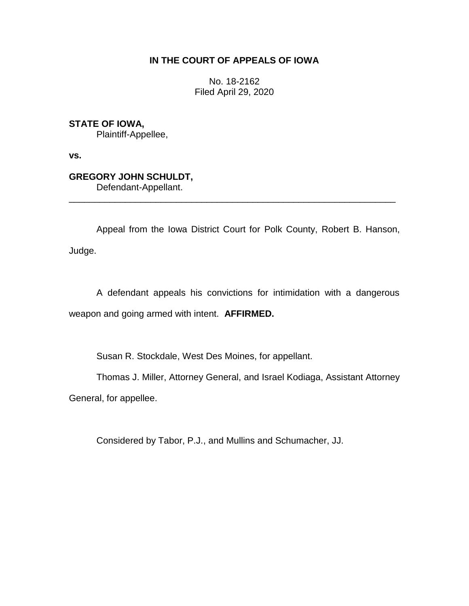## **IN THE COURT OF APPEALS OF IOWA**

No. 18-2162 Filed April 29, 2020

**STATE OF IOWA,**

Plaintiff-Appellee,

**vs.**

# **GREGORY JOHN SCHULDT,**

Defendant-Appellant.

Appeal from the Iowa District Court for Polk County, Robert B. Hanson, Judge.

\_\_\_\_\_\_\_\_\_\_\_\_\_\_\_\_\_\_\_\_\_\_\_\_\_\_\_\_\_\_\_\_\_\_\_\_\_\_\_\_\_\_\_\_\_\_\_\_\_\_\_\_\_\_\_\_\_\_\_\_\_\_\_\_

A defendant appeals his convictions for intimidation with a dangerous weapon and going armed with intent. **AFFIRMED.**

Susan R. Stockdale, West Des Moines, for appellant.

Thomas J. Miller, Attorney General, and Israel Kodiaga, Assistant Attorney

General, for appellee.

Considered by Tabor, P.J., and Mullins and Schumacher, JJ.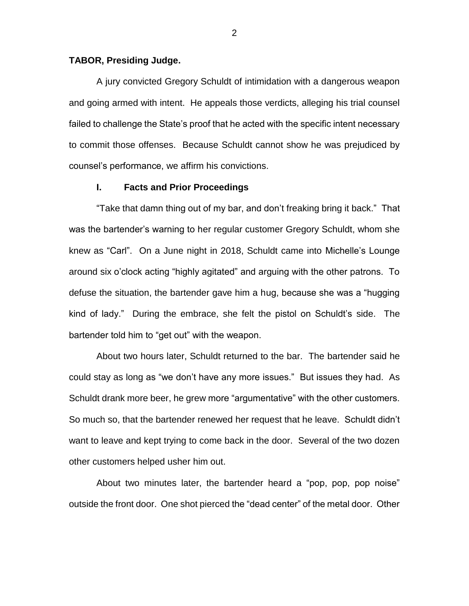#### **TABOR, Presiding Judge.**

A jury convicted Gregory Schuldt of intimidation with a dangerous weapon and going armed with intent. He appeals those verdicts, alleging his trial counsel failed to challenge the State's proof that he acted with the specific intent necessary to commit those offenses. Because Schuldt cannot show he was prejudiced by counsel's performance, we affirm his convictions.

#### **I. Facts and Prior Proceedings**

"Take that damn thing out of my bar, and don't freaking bring it back." That was the bartender's warning to her regular customer Gregory Schuldt, whom she knew as "Carl". On a June night in 2018, Schuldt came into Michelle's Lounge around six o'clock acting "highly agitated" and arguing with the other patrons. To defuse the situation, the bartender gave him a hug, because she was a "hugging kind of lady." During the embrace, she felt the pistol on Schuldt's side. The bartender told him to "get out" with the weapon.

About two hours later, Schuldt returned to the bar. The bartender said he could stay as long as "we don't have any more issues." But issues they had. As Schuldt drank more beer, he grew more "argumentative" with the other customers. So much so, that the bartender renewed her request that he leave. Schuldt didn't want to leave and kept trying to come back in the door. Several of the two dozen other customers helped usher him out.

About two minutes later, the bartender heard a "pop, pop, pop noise" outside the front door. One shot pierced the "dead center" of the metal door. Other

2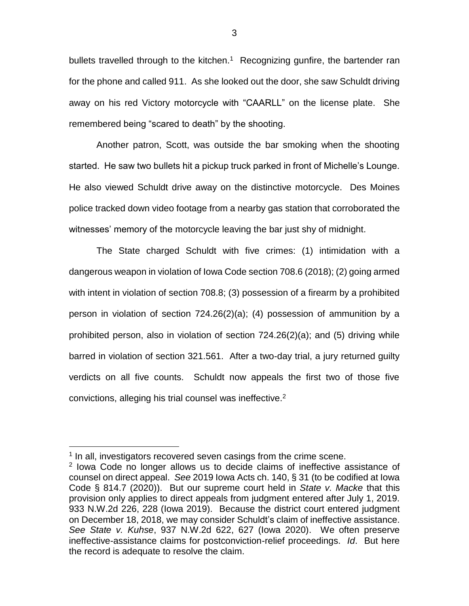bullets travelled through to the kitchen.<sup>1</sup> Recognizing gunfire, the bartender ran for the phone and called 911. As she looked out the door, she saw Schuldt driving away on his red Victory motorcycle with "CAARLL" on the license plate. She remembered being "scared to death" by the shooting.

Another patron, Scott, was outside the bar smoking when the shooting started. He saw two bullets hit a pickup truck parked in front of Michelle's Lounge. He also viewed Schuldt drive away on the distinctive motorcycle. Des Moines police tracked down video footage from a nearby gas station that corroborated the witnesses' memory of the motorcycle leaving the bar just shy of midnight.

The State charged Schuldt with five crimes: (1) intimidation with a dangerous weapon in violation of Iowa Code section 708.6 (2018); (2) going armed with intent in violation of section 708.8; (3) possession of a firearm by a prohibited person in violation of section 724.26(2)(a); (4) possession of ammunition by a prohibited person, also in violation of section 724.26(2)(a); and (5) driving while barred in violation of section 321.561. After a two-day trial, a jury returned guilty verdicts on all five counts. Schuldt now appeals the first two of those five convictions, alleging his trial counsel was ineffective.<sup>2</sup>

 $\overline{a}$ 

<sup>&</sup>lt;sup>1</sup> In all, investigators recovered seven casings from the crime scene.

<sup>&</sup>lt;sup>2</sup> lowa Code no longer allows us to decide claims of ineffective assistance of counsel on direct appeal. *See* 2019 Iowa Acts ch. 140, § 31 (to be codified at Iowa Code § 814.7 (2020)). But our supreme court held in *State v. Macke* that this provision only applies to direct appeals from judgment entered after July 1, 2019. 933 N.W.2d 226, 228 (Iowa 2019). Because the district court entered judgment on December 18, 2018, we may consider Schuldt's claim of ineffective assistance. *See State v. Kuhse*, 937 N.W.2d 622, 627 (Iowa 2020). We often preserve ineffective-assistance claims for postconviction-relief proceedings. *Id*. But here the record is adequate to resolve the claim.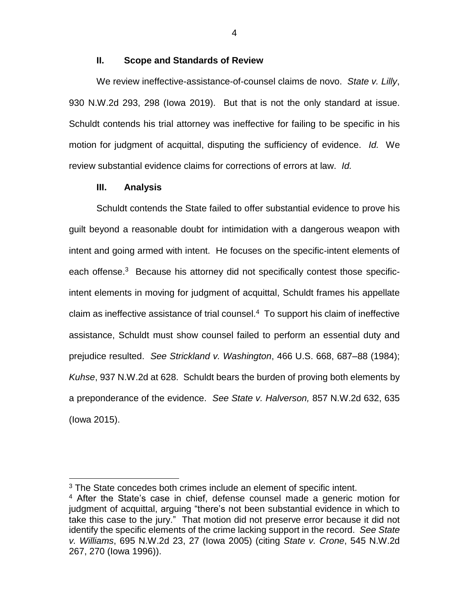#### **II. Scope and Standards of Review**

We review ineffective-assistance-of-counsel claims de novo. *State v. Lilly*, 930 N.W.2d 293, 298 (Iowa 2019). But that is not the only standard at issue. Schuldt contends his trial attorney was ineffective for failing to be specific in his motion for judgment of acquittal, disputing the sufficiency of evidence. *Id.* We review substantial evidence claims for corrections of errors at law. *Id.*

### **III. Analysis**

 $\overline{a}$ 

Schuldt contends the State failed to offer substantial evidence to prove his guilt beyond a reasonable doubt for intimidation with a dangerous weapon with intent and going armed with intent. He focuses on the specific-intent elements of each offense.<sup>3</sup> Because his attorney did not specifically contest those specificintent elements in moving for judgment of acquittal, Schuldt frames his appellate claim as ineffective assistance of trial counsel.<sup>4</sup> To support his claim of ineffective assistance, Schuldt must show counsel failed to perform an essential duty and prejudice resulted. *See Strickland v. Washington*, 466 U.S. 668, 687–88 (1984); *Kuhse*, 937 N.W.2d at 628. Schuldt bears the burden of proving both elements by a preponderance of the evidence. *See State v. Halverson,* 857 N.W.2d 632, 635 (Iowa 2015).

4

<sup>&</sup>lt;sup>3</sup> The State concedes both crimes include an element of specific intent.

<sup>4</sup> After the State's case in chief, defense counsel made a generic motion for judgment of acquittal, arguing "there's not been substantial evidence in which to take this case to the jury." That motion did not preserve error because it did not identify the specific elements of the crime lacking support in the record. *See State v. Williams*, 695 N.W.2d 23, 27 (Iowa 2005) (citing *State v. Crone*, 545 N.W.2d 267, 270 (Iowa 1996)).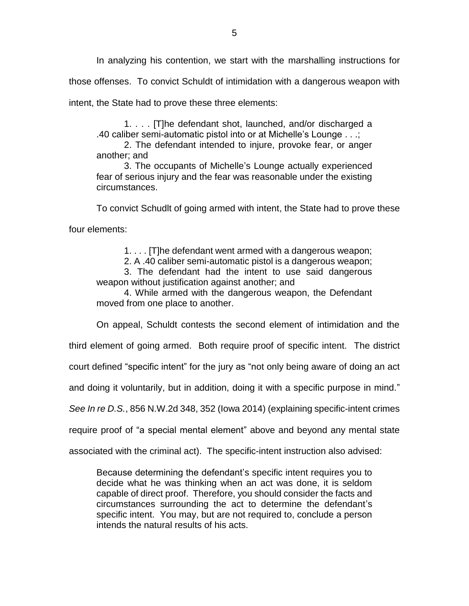In analyzing his contention, we start with the marshalling instructions for those offenses. To convict Schuldt of intimidation with a dangerous weapon with intent, the State had to prove these three elements:

1. . . . [T]he defendant shot, launched, and/or discharged a .40 caliber semi-automatic pistol into or at Michelle's Lounge . . .;

2. The defendant intended to injure, provoke fear, or anger another; and

3. The occupants of Michelle's Lounge actually experienced fear of serious injury and the fear was reasonable under the existing circumstances.

To convict Schudlt of going armed with intent, the State had to prove these

four elements:

1. . . . [T]he defendant went armed with a dangerous weapon;

2. A .40 caliber semi-automatic pistol is a dangerous weapon;

3. The defendant had the intent to use said dangerous weapon without justification against another; and

4. While armed with the dangerous weapon, the Defendant moved from one place to another.

On appeal, Schuldt contests the second element of intimidation and the

third element of going armed. Both require proof of specific intent. The district

court defined "specific intent" for the jury as "not only being aware of doing an act

and doing it voluntarily, but in addition, doing it with a specific purpose in mind."

*See In re D.S.*, 856 N.W.2d 348, 352 (Iowa 2014) (explaining specific-intent crimes

require proof of "a special mental element" above and beyond any mental state

associated with the criminal act). The specific-intent instruction also advised:

Because determining the defendant's specific intent requires you to decide what he was thinking when an act was done, it is seldom capable of direct proof. Therefore, you should consider the facts and circumstances surrounding the act to determine the defendant's specific intent. You may, but are not required to, conclude a person intends the natural results of his acts.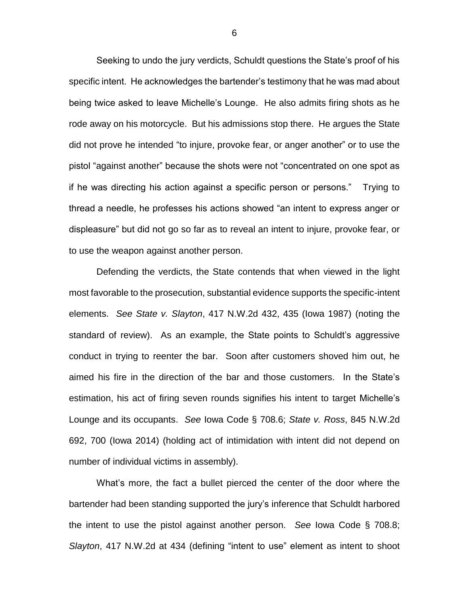Seeking to undo the jury verdicts, Schuldt questions the State's proof of his specific intent. He acknowledges the bartender's testimony that he was mad about being twice asked to leave Michelle's Lounge. He also admits firing shots as he rode away on his motorcycle. But his admissions stop there. He argues the State did not prove he intended "to injure, provoke fear, or anger another" or to use the pistol "against another" because the shots were not "concentrated on one spot as if he was directing his action against a specific person or persons." Trying to thread a needle, he professes his actions showed "an intent to express anger or displeasure" but did not go so far as to reveal an intent to injure, provoke fear, or to use the weapon against another person.

Defending the verdicts, the State contends that when viewed in the light most favorable to the prosecution, substantial evidence supports the specific-intent elements. *See State v. Slayton*, 417 N.W.2d 432, 435 (Iowa 1987) (noting the standard of review). As an example, the State points to Schuldt's aggressive conduct in trying to reenter the bar. Soon after customers shoved him out, he aimed his fire in the direction of the bar and those customers. In the State's estimation, his act of firing seven rounds signifies his intent to target Michelle's Lounge and its occupants. *See* Iowa Code § 708.6; *State v. Ross*, 845 N.W.2d 692, 700 (Iowa 2014) (holding act of intimidation with intent did not depend on number of individual victims in assembly).

What's more, the fact a bullet pierced the center of the door where the bartender had been standing supported the jury's inference that Schuldt harbored the intent to use the pistol against another person. *See* Iowa Code § 708.8; *Slayton*, 417 N.W.2d at 434 (defining "intent to use" element as intent to shoot

6